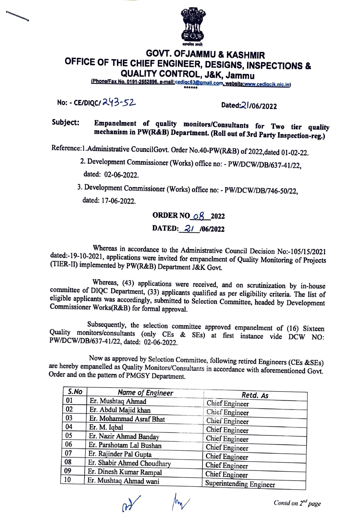

## **GOVT. OFJAMMU & KASHMIR OFFICE OF THE CHIEF ENGINEER, DESIGNS, INSPECTIONS** & **QUALITY CONTROL, J&K, Jammu**

(Phone/Fax No. 0191-2552896, e-mail:cedigc63@gmail.com, website:www.cedigcik.nic.in)

No: • CE/DIQC/ ;;t 3~ *52..* DatedQ I /06/2022

Subject: Empanelment of quality monitors/Consultants for Two tier quality **mechanism in PW(R&B) Department. (Roll out of 3rd Party Inspection-reg.)** 

Reference: 1. Administrative Council Govt. Order No. 40-PW(R&B) of 2022, dated 01-02-22.

- 2. Development Commissioner (Works) office no:• PW/DCW/DB/637-41/22, dated: 02-06-2022.
- 3. Development Commissioner (Works) office no: PW/DCW/DB/746-50/22, dated: 17-06-2022.

## **ORDER NO... 08...2022 DATED:** 21 /06/2022

Whereas in accordance to the Administrative Council Decision No:-105/15/2021 dated:-19-10-2021, applications were invited for empanelment of Quality Monitoring of Projects (TIER-II) implemented by PW(R&B) Department J&K Govt.

Whereas, (43) applications were received, and on scrutinization by in-house committee of DIQC Department, (33) applicants qualified as per eligibility criteria. The list of eligible applicants was accordingly, submitted to Selection Committee, headed by Development Commissioner Works(R&B) for formal approval.

Subsequently, the selection committee approved empanelment of (16) Sixteen Quality monitors/consultants (only CEs & SEs) at first instance vide DCW NO: PW/DCW/DB/637-41/22, dated: 02-06-2022.

Now as approved by Selection Committee, following retired Engineers (CEs &SEs) are hereby empanelled as Quality Monitors/Consultants in accordance with aforementioned Govt. Order and on the pattern of PMGSY Department.

| S.No | <b>Name of Engineer</b>    | Retd. As                |
|------|----------------------------|-------------------------|
| 01   | Er. Mushtaq Ahmad          | Chief Engineer          |
| 02   | Er. Abdul Majid khan       | Chief Engineer          |
| 03   | Er. Mohammad Asraf Bhat    | Chief Engineer          |
| 04   | Er. M. Iqbal               | <b>Chief Engineer</b>   |
| 05   | Er. Nazir Ahmad Banday     | Chief Engineer          |
| 06   | Er. Parshotam Lal Bushan   | <b>Chief Engineer</b>   |
| 07   | Er. Rajinder Pal Gupta     | <b>Chief Engineer</b>   |
| 08   | Er. Shabir Ahmed Choudhary | <b>Chief Engineer</b>   |
| 09   | Er. Dinesh Kumar Rampal    | <b>Chief Engineer</b>   |
| 10   | Er. Mushtaq Ahmad wani     | Superintending Engineer |

*fv Contd on 2"d page*